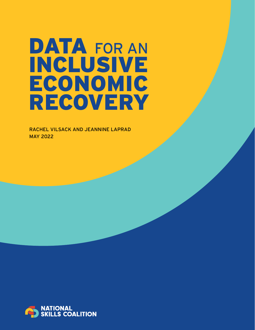# DATA FOR AN INCLUSIVE ECONOMIC RECOVERY

RACHEL VILSACK AND JEANNINE LAPRAD MAY 2022

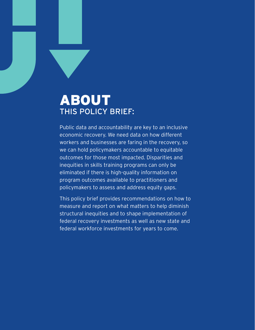### ABOUT THIS POLICY BRIEF:

Public data and accountability are key to an inclusive economic recovery. We need data on how different workers and businesses are faring in the recovery, so we can hold policymakers accountable to equitable outcomes for those most impacted. Disparities and inequities in skills training programs can only be eliminated if there is high-quality information on program outcomes available to practitioners and policymakers to assess and address equity gaps.

This policy brief provides recommendations on how to measure and report on what matters to help diminish structural inequities and to shape implementation of federal recovery investments as well as new state and federal workforce investments for years to come.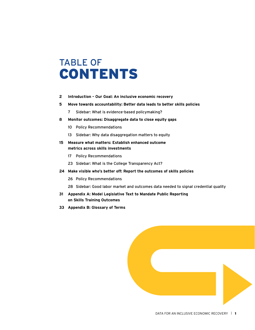## TABLE OF CONTENTS

- **2 Introduction – Our Goal: An inclusive economic recovery**
- **5 Move towards accountability: Better data leads to better skills policies**
	- 7 Sidebar: What is evidence-based policymaking?
- **8 Monitor outcomes: Disaggregate data to close equity gaps**
	- 10 Policy Recommendations
	- 13 Sidebar: Why data disaggregation matters to equity
- **15 Measure what matters: Establish enhanced outcome metrics across skills investments**
	- 17 Policy Recommendations
	- 23 Sidebar: What is the College Transparency Act?
- **24 Make visible who's better off: Report the outcomes of skills policies**
	- 26 Policy Recommendations
	- 28 Sidebar: Good labor market and outcomes data needed to signal credential quality
- **31 Appendix A: Model Legislative Text to Mandate Public Reporting on Skills Training Outcomes**
- **33 Appendix B: Glossary of Terms**

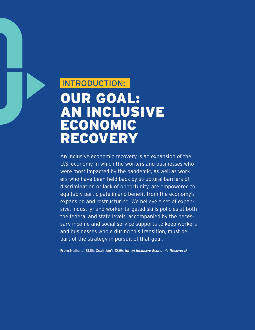## INTRODUCTION: OUR GOAL: AN INCLUSIVE ECONOMIC RECOVERY

An inclusive economic recovery is an expansion of the U.S. economy in which the workers and businesses who were most impacted by the pandemic, as well as workers who have been held back by structural barriers of discrimination or lack of opportunity, are empowered to equitably participate in and benefit from the economy's expansion and restructuring. We believe a set of expansive, industry- and worker-targeted skills policies at both the federal and state levels, accompanied by the necessary income and social service supports to keep workers and businesses whole during this transition, must be part of the strategy in pursuit of that goal.

From National Skills Coalition's *Skills for an Inclusive Economic Recovery. 1*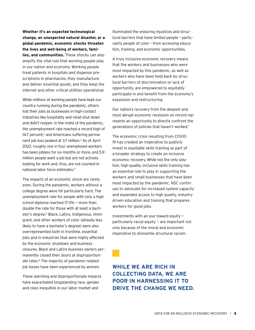**Whether it's an expected technological change, an unexpected natural disaster, or a global pandemic, economic shocks threaten the lives and well-being of workers, families, and communities.** These shocks can also amplify the vital role that working people play in our nation and economy. Working people treat patients in hospitals and dispense prescriptions in pharmacies; they manufacture and deliver essential goods; and they keep the internet and other critical utilities operational.

While millions of working people have kept our country running during the pandemic, others lost their jobs as businesses in high-contact industries like hospitality and retail shut down and didn't reopen. In the midst of the pandemic, the unemployment rate reached a record high of 14.7 percent,<sup>2</sup> and Americans suffering permanent job loss peaked at 3.7 million.<sup>3</sup> As of April 2022, roughly one in four unemployed workers has been jobless for six months or more, and 5.9 million people want a job but are not actively looking for work and, thus, are not counted in national labor force estimates.4

The impacts of an economic shock are rarely even. During the pandemic, workers without a college degree were hit particularly hard. The unemployment rate for people with only a high school diploma reached 17.3% — more than double the rate for those with at least a bachelor's degree.5 Black, Latinx, Indigenous, immigrant, and other workers of color (already less likely to have a bachelor's degree) were also overrepresented both in frontline, essential jobs and in industries that were highly affected by the economic shutdown and business closures. Black and Latinx business owners permanently closed their doors at disproportionate rates.<sup>6</sup> The majority of pandemic-related job losses have been experienced by women.

These alarming and disproportionate impacts have exacerbated longstanding race, gender, and class inequities in our labor market and

illuminated the enduring injustices and structural barriers that have limited people – particularly people of color – from accessing education, training, and economic opportunities.

A truly inclusive economic recovery means that the workers and businesses who were most impacted by this pandemic, as well as workers who have been held back by structural barriers of discrimination or lack of opportunity, are empowered to equitably participate in and benefit from the economy's expansion and restructuring.

Our nation's recovery from the deepest and most abrupt economic recession on record represents an opportunity to directly confront the generations of policies that haven't worked.7

The economic crisis resulting from COVID-19 has created an imperative to publicly invest in equitable skills training as part of a broader strategy to create an inclusive economic recovery. While not the only solution, high-quality, inclusive skills training has an essential role to play in supporting the workers and small businesses that have been most impacted by the pandemic. NSC continues to advocate for increased system capacity and expanded access to high quality, industry driven education and training that prepares workers for good jobs.

Investments with an eye toward equity particularly racial equity — are important not only because of the moral and economic imperative to dismantle structural racism

**WHILE WE ARE RICH IN COLLECTING DATA, WE ARE POOR IN HARNESSING IT TO DRIVE THE CHANGE WE NEED.**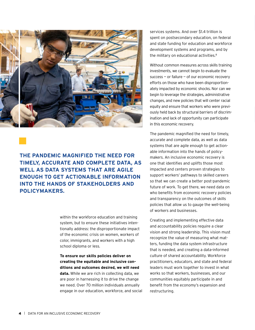

#### **THE PANDEMIC MAGNIFIED THE NEED FOR TIMELY, ACCURATE AND COMPLETE DATA, AS WELL AS DATA SYSTEMS THAT ARE AGILE ENOUGH TO GET ACTIONABLE INFORMATION INTO THE HANDS OF STAKEHOLDERS AND POLICYMAKERS.**

within the workforce education and training system, but to ensure these initiatives intentionally address: the disproportionate impact of the economic crisis on women, workers of color, immigrants, and workers with a high school diploma or less.

**To ensure our skills policies deliver on creating the equitable and inclusive conditions and outcomes desired, we will need data.** While we are rich in collecting data, we are poor in harnessing it to drive the change we need. Over 70 million individuals annually engage in our education, workforce, and social

services systems. And over \$1.4 trillion is spent on postsecondary education, on federal and state funding for education and workforce development systems and programs, and by the military on educational activities.<sup>8</sup>

Without common measures across skills training investments, we cannot begin to evaluate the success  $-$  or failure  $-$  of our economic recovery efforts on those who have been disproportionately impacted by economic shocks. Nor can we begin to leverage the strategies, administrative changes, and new policies that will center racial equity and ensure that workers who were previously held back by structural barriers of discrimination and lack of opportunity can participate in this economic recovery.

The pandemic magnified the need for timely, accurate and complete data, as well as data systems that are agile enough to get actionable information into the hands of policymakers. An inclusive economic recovery is one that identifies and uplifts those most impacted and centers proven strategies to support workers' pathways to skilled careers so that we can create a better post-pandemic future of work. To get there, we need data on who benefits from economic recovery policies and transparency on the outcomes of skills policies that allow us to gauge the well-being of workers and businesses.

Creating and implementing effective data and accountability policies require a clear vision and strong leadership. This vision must recognize the value of measuring what matters, funding the data system infrastructure that is needed, and creating a data-informed culture of shared accountability. Workforce practitioners, educators, and state and federal leaders must work together to invest in what works so that workers, businesses, and our communities equitably participate in and benefit from the economy's expansion and restructuring.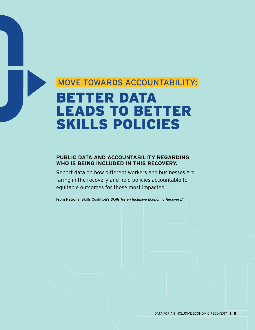## MOVE TOWARDS ACCOUNTABILITY: BETTER DATA LEADS TO BETTER SKILLS POLICIES

#### **PUBLIC DATA AND ACCOUNTABILITY REGARDING WHO IS BEING INCLUDED IN THIS RECOVERY.**

Report data on how different workers and businesses are faring in the recovery and hold policies accountable to equitable outcomes for those most impacted.

From National Skills Coalition's *Skills for an Inclusive Economic Recovery. 9*

DATA FOR AN INCLUSIVE ECONOMIC RECOVERY  $\parallel$  5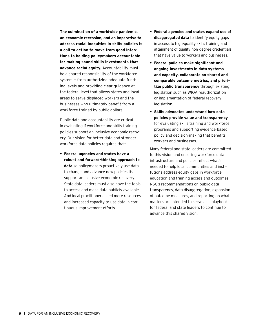**The culmination of a worldwide pandemic, an economic recession, and an imperative to address racial inequities in skills policies is a call to action to move from good intentions to holding policymakers accountable for making sound skills investments that advance racial equity.** Accountability must be a shared responsibility of the workforce system — from authorizing adequate funding levels and providing clear guidance at the federal level that allows states and local areas to serve displaced workers and the businesses who ultimately benefit from a workforce trained by public dollars.

Public data and accountability are critical in evaluating if workforce and skills training policies support an inclusive economic recovery. Our vision for better data and stronger workforce data policies requires that:

**• Federal agencies and states have a robust and forward-thinking approach to data** so policymakers proactively use data to change and advance new policies that support an inclusive economic recovery. State data leaders must also have the tools to access and make data publicly available. And local practitioners need more resources and increased capacity to use data in continuous improvement efforts.

- **• Federal agencies and states expand use of disaggregated data** to identify equity gaps in access to high-quality skills training and attainment of quality non-degree credentials that have value to workers and businesses.
- **• Federal policies make significant and ongoing investments in data systems and capacity, collaborate on shared and comparable outcome metrics, and prioritize public transparency** through existing legislation such as WIOA reauthorization or implementation of federal recovery legislation.
- **• Skills advocates understand how data policies provide value and transparency** for evaluating skills training and workforce programs and supporting evidence-based policy and decision-making that benefits workers and businesses.

Many federal and state leaders are committed to this vision and ensuring workforce data infrastructure and policies reflect what's needed to help local communities and institutions address equity gaps in workforce education and training access and outcomes. NSC's recommendations on public data transparency, data disaggregation, expansion of outcome measures, and reporting on what matters are intended to serve as a playbook for federal and state leaders to continue to advance this shared vision.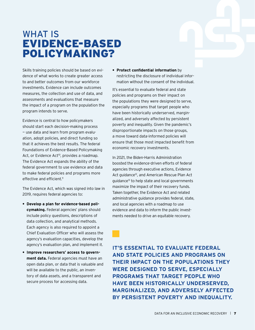### WHAT IS EVIDENCE-BASED POLICYMAKING?

Skills training policies should be based on evidence of what works to create greater access to and better outcomes from our workforce investments. Evidence can include outcomes measures, the collection and use of data, and assessments and evaluations that measure the impact of a program on the population the program intends to serve.

Evidence is central to how policymakers should start each decision-making process — use data and learn from program evaluation, adopt policies, and direct funding so that it achieves the best results. The federal Foundations of Evidence-Based Policymaking Act, or Evidence Act<sup>10</sup>, provides a roadmap. The Evidence Act expands the ability of the federal government to use evidence and data to make federal policies and programs more effective and efficient.<sup>11</sup>

The Evidence Act, which was signed into law in 2019, requires federal agencies to:

- **• Develop a plan for evidence-based policymaking.** Federal agencies' plans should include policy questions, descriptions of data collection, and analytical methods. Each agency is also required to appoint a Chief Evaluation Officer who will assess the agency's evaluation capacities, develop the agency's evaluation plan, and implement it.
- **• Improve researchers' access to government data.** Federal agencies must have an open data plan, or data that is valuable and will be available to the public, an inventory of data assets, and a transparent and secure process for accessing data.

**• Protect confidential information** by restricting the disclosure of individual information without the consent of the individual.

It's essential to evaluate federal and state policies and programs on their impact on the populations they were designed to serve, especially programs that target people who have been historically underserved, marginalized, and adversely affected by persistent poverty and inequality. Given the pandemic's disproportionate impacts on those groups, a move toward data-informed policies will ensure that those most impacted benefit from economic recovery investments.

In 2021, the Biden-Harris Administration boosted the evidence-driven efforts of federal agencies through executive actions, Evidence Act guidance<sup>12</sup>, and American Rescue Plan Act guidance13 to help state and local governments maximize the impact of their recovery funds. Taken together, the Evidence Act and related administrative guidance provides federal, state, and local agencies with a roadmap to use evidence and data to inform the public investments needed to drive an equitable recovery.

**IT'S ESSENTIAL TO EVALUATE FEDERAL AND STATE POLICIES AND PROGRAMS ON THEIR IMPACT ON THE POPULATIONS THEY WERE DESIGNED TO SERVE, ESPECIALLY PROGRAMS THAT TARGET PEOPLE WHO HAVE BEEN HISTORICALLY UNDERSERVED, MARGINALIZED, AND ADVERSELY AFFECTED BY PERSISTENT POVERTY AND INEQUALITY.**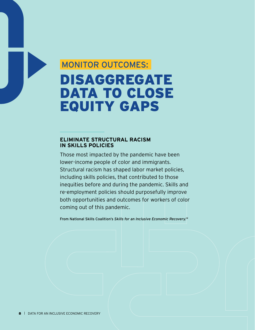## MONITOR OUTCOMES: DISAGGREGATE DATA TO CLOSE EQUITY GAPS

#### **ELIMINATE STRUCTURAL RACISM IN SKILLS POLICIES**

Those most impacted by the pandemic have been lower-income people of color and immigrants. Structural racism has shaped labor market policies, including skills policies, that contributed to those inequities before and during the pandemic. Skills and re-employment policies should purposefully improve both opportunities and outcomes for workers of color coming out of this pandemic.

From National Skills Coalition's *Skills for an Inclusive Economic Recovery. 14*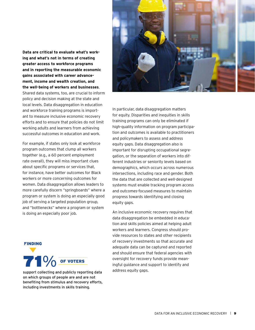**Data are critical to evaluate what's working and what's not in terms of creating greater access to workforce programs and in reporting the measurable economic gains associated with career advancement, income and wealth creation, and the well-being of workers and businesses**. Shared data systems, too, are crucial to inform policy and decision making at the state and local levels. Data disaggregation in education and workforce training programs is important to measure inclusive economic recovery efforts and to ensure that policies do not limit working adults and learners from achieving successful outcomes in education and work.

For example, if states only look at workforce program outcomes that clump all workers together (e.g., a 60 percent employment rate overall), they will miss important clues about specific programs or services that, for instance, have better outcomes for Black workers or more concerning outcomes for women. Data disaggregation allows leaders to more carefully discern "springboards" where a program or system is doing an especially good job of serving a targeted population group, and "bottlenecks" where a program or system is doing an especially poor job.

#### FINDING



support collecting and publicly reporting data address equity gaps. on which groups of people are and are not benefiting from stimulus and recovery efforts, including investments in skills training.



In particular, data disaggregation matters for equity. Disparities and inequities in skills training programs can only be eliminated if high-quality information on program participation and outcomes is available to practitioners and policymakers to assess and address equity gaps. Data disaggregation also is important for disrupting occupational segregation, or the separation of workers into different industries or seniority levels based on demographics, which occurs across numerous intersections, including race and gender. Both the data that are collected and well-designed systems must enable tracking program access and outcomes-focused measures to maintain progress towards identifying and closing equity gaps.

An inclusive economic recovery requires that data disaggregation be embedded in education and skills policies aimed at helping adult workers and learners. Congress should provide resources to states and other recipients of recovery investments so that accurate and adequate data can be captured and reported and should ensure that federal agencies with oversight for recovery funds provide meaningful guidance and support to identify and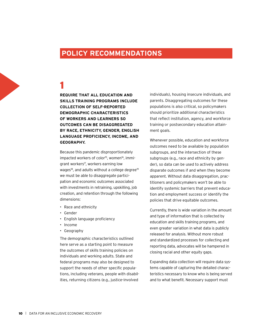#### **POLICY RECOMMENDATIONS**

### 1

**REQUIRE THAT ALL EDUCATION AND SKILLS TRAINING PROGRAMS INCLUDE COLLECTION OF SELF-REPORTED DEMOGRAPHIC CHARACTERISTICS OF WORKERS AND LEARNERS SO OUTCOMES CAN BE DISAGGREGATED BY RACE, ETHNICITY, GENDER, ENGLISH LANGUAGE PROFICIENCY, INCOME, AND GEOGRAPHY.**

Because this pandemic disproportionately impacted workers of color<sup>15</sup>, women<sup>16</sup>, immigrant workers<sup>17</sup>, workers earning low wages<sup>18</sup>, and adults without a college degree<sup>19</sup> we must be able to disaggregate participation and economic outcomes associated with investments in retraining, upskilling, job creation, and retention through the following dimensions:

- Race and ethnicity
- Gender
- English language proficiency
- Income
- Geography

The demographic characteristics outlined here serve as a starting point to measure the outcomes of skills training policies on individuals and working adults. State and federal programs may also be designed to support the needs of other specific populations, including veterans, people with disabilities, returning citizens (e.g., justice-involved

individuals), housing insecure individuals, and parents. Disaggregating outcomes for these populations is also critical, so policymakers should prioritize additional characteristics that reflect institution, agency, and workforce training or postsecondary education attainment goals.

Whenever possible, education and workforce outcomes need to be available by population subgroups, and the intersection of these subgroups (e.g., race and ethnicity by gender), so data can be used to actively address disparate outcomes if and when they become apparent. Without data disaggregation, practitioners and policymakers won't be able to identify systemic barriers that prevent education and employment success or identify the policies that drive equitable outcomes.

Currently, there is wide variation in the amount and type of information that is collected by education and skills training programs, and even greater variation in what data is publicly released for analysis. Without more robust and standardized processes for collecting and reporting data, advocates will be hampered in closing racial and other equity gaps.

Expanding data collection will require data systems capable of capturing the detailed characteristics necessary to know who is being served and to what benefit. Necessary support must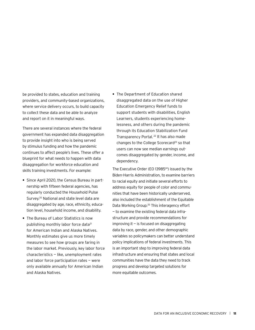be provided to states, education and training providers, and community-based organizations, where service delivery occurs, to build capacity to collect these data and be able to analyze and report on it in meaningful ways.

There are several instances where the federal government has expanded data disaggregation to provide insight into who is being served by stimulus funding and how the pandemic continues to affect people's lives. These offer a blueprint for what needs to happen with data disaggregation for workforce education and skills training investments. For example:

- **•** Since April 2020, the Census Bureau in partnership with fifteen federal agencies, has regularly conducted the Household Pulse Survey. 20 National and state level data are disaggregated by age, race, ethnicity, education level, household income, and disability.
- **•** The Bureau of Labor Statistics is now publishing monthly labor force data<sup>21</sup> for American Indian and Alaska Natives. Monthly estimates give us more timely measures to see how groups are faring in the labor market. Previously, key labor force characteristics — like, unemployment rates and labor force participation rates — were only available annually for American Indian and Alaska Natives.

**•** The Department of Education shared disaggregated data on the use of Higher Education Emergency Relief funds to support students with disabilities, English Learners, students experiencing homelessness, and others during the pandemic through its Education Stabilization Fund Transparency Portal. 22 It has also made changes to the College Scorecard<sup>23</sup> so that users can now see median earnings outcomes disaggregated by gender, income, and dependency.

The Executive Order (EO 13985<sup>24</sup>) issued by the Biden-Harris Administration, to examine barriers to racial equity and initiate several efforts to address equity for people of color and communities that have been historically underserved, also included the establishment of the Equitable Data Working Group. 25 This interagency effort — to examine the existing federal data infrastructure and provide recommendations for  $improving$  it  $-$  is focused on disaggregating data by race, gender, and other demographic variables so policymakers can better understand policy implications of federal investments. This is an important step to improving federal data infrastructure and ensuring that states and local communities have the data they need to track progress and develop targeted solutions for more equitable outcomes.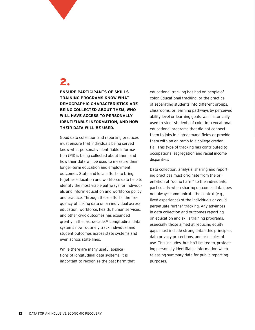### 2.

**ENSURE PARTICIPANTS OF SKILLS TRAINING PROGRAMS KNOW WHAT DEMOGRAPHIC CHARACTERISTICS ARE BEING COLLECTED ABOUT THEM, WHO WILL HAVE ACCESS TO PERSONALLY IDENTIFIABLE INFORMATION, AND HOW THEIR DATA WILL BE USED.**

Good data collection and reporting practices must ensure that individuals being served know what personally identifiable information (PII) is being collected about them and how their data will be used to measure their longer-term education and employment outcomes. State and local efforts to bring together education and workforce data help to identify the most viable pathways for individuals and inform education and workforce policy and practice. Through these efforts, the frequency of linking data on an individual across education, workforce, health, human services, and other civic outcomes has expanded greatly in the last decade.<sup>26</sup> Longitudinal data systems now routinely track individual and student outcomes across state systems and even across state lines.

While there are many useful applications of longitudinal data systems, it is important to recognize the past harm that educational tracking has had on people of color. Educational tracking, or the practice of separating students into different groups, classrooms, or learning pathways by perceived ability level or learning goals, was historically used to steer students of color into vocational educational programs that did not connect them to jobs in high-demand fields or provide them with an on ramp to a college credential. This type of tracking has contributed to occupational segregation and racial income disparities.

Data collection, analysis, sharing and reporting practices must originate from the orientation of "do no harm" to the individuals, particularly when sharing outcomes data does not always communicate the context (e.g., lived experience) of the individuals or could perpetuate further tracking. Any advances in data collection and outcomes reporting on education and skills training programs, especially those aimed at reducing equity gaps must include strong data ethic principles, data privacy protections, and principles of use. This includes, but isn't limited to, protecting personally identifiable information when releasing summary data for public reporting purposes.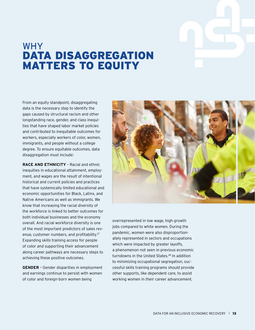

### WHY DATA DISAGGREGATION MATTERS TO EQUITY

From an equity standpoint, disaggregating data is the necessary step to identify the gaps caused by structural racism and other longstanding race, gender, and class inequities that have shaped labor market policies and contributed to inequitable outcomes for workers, especially workers of color, women, immigrants, and people without a college degree. To ensure equitable outcomes, data disaggregation must include:

**RACE AND ETHNICITY** – Racial and ethnic inequities in educational attainment, employment, and wages are the result of intentional historical and current policies and practices that have systemically limited educational and economic opportunities for Black, Latinx, and Native Americans as well as immigrants. We know that increasing the racial diversity of the workforce is linked to better outcomes for both individual businesses and the economy overall. And racial workforce diversity is one of the most important predictors of sales revenue, customer numbers, and profitability.<sup>27</sup> Expanding skills training access for people of color and supporting their advancement along career pathways are necessary steps to achieving these positive outcomes.

**GENDER** – Gender disparities in employment and earnings continue to persist with women of color and foreign-born women being



overrepresented in low wage, high growth jobs compared to white women. During the pandemic, women were also disproportionately represented in sectors and occupations which were impacted by greater layoffs, a phenomenon not seen in previous economic turndowns in the United States.28 In addition to minimizing occupational segregation, successful skills training programs should provide other supports, like dependent care, to assist working women in their career advancement.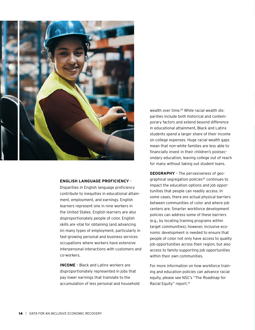

#### **ENGLISH LANGUAGE PROFICIENCY** –

Disparities in English language proficiency contribute to inequities in educational attainment, employment, and earnings. English learners represent one in nine workers in the United States. English learners are also disproportionately people of color. English skills are vital for obtaining (and advancing in) many types of employment, particularly in fast-growing personal and business services occupations where workers have extensive interpersonal interactions with customers and co-workers.

**INCOME** – Black and Latinx workers are disproportionately represented in jobs that pay lower earnings that translate to the accumulation of less personal and household

wealth over time.<sup>29</sup> While racial wealth disparities include both historical and contemporary factors and extend beyond difference in educational attainment, Black and Latinx students spend a larger share of their income on college expenses. Huge racial wealth gaps mean that non-white families are less able to financially invest in their children's postsecondary education, leaving college out of reach for many without taking out student loans.

**GEOGRAPHY** – The pervasiveness of geographical segregation policies<sup>30</sup> continues to impact the education options and job opportunities that people can readily access. In some cases, there are actual physical barriers between communities of color and where job centers are. Smarter workforce development policies can address some of these barriers (e.g., by locating training programs within target communities); however, inclusive economic development is needed to ensure that people of color not only have access to quality job opportunities across their region, but also access to family-supporting job opportunities within their own communities.

For more information on how workforce training and education policies can advance racial equity, please see NSC's "[The Roadmap for](https://nationalskillscoalition.org/resource/publications/the-roadmap-for-racial-equity/)  [Racial Equity](https://nationalskillscoalition.org/resource/publications/the-roadmap-for-racial-equity/)" report.31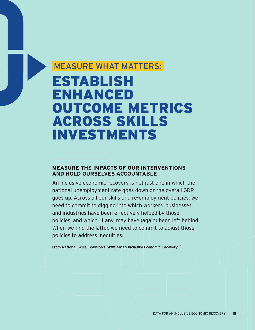### MEASURE WHAT MATTERS:

## ESTABLISH ENHANCED OUTCOME METRICS ACROSS SKILLS INVESTMENTS

#### **MEASURE THE IMPACTS OF OUR INTERVENTIONS AND HOLD OURSELVES ACCOUNTABLE**

An inclusive economic recovery is not just one in which the national unemployment rate goes down or the overall GDP goes up. Across all our skills and re-employment policies, we need to commit to digging into which workers, businesses, and industries have been effectively helped by those policies, and which, if any, may have (again) been left behind. When we find the latter, we need to commit to adjust those policies to address inequities.

From National Skills Coalition's *Skills for an Inclusive Economic Recovery. 32*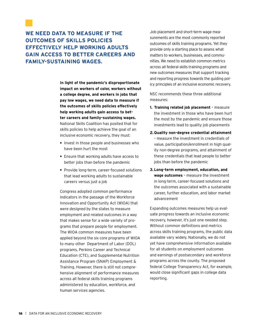#### **WE NEED DATA TO MEASURE IF THE OUTCOMES OF SKILLS POLICIES EFFECTIVELY HELP WORKING ADULTS GAIN ACCESS TO BETTER CAREERS AND FAMILY-SUSTAINING WAGES.**

**In light of the pandemic's disproportionate impact on workers of color, workers without a college degree, and workers in jobs that pay low wages, we need data to measure if the outcomes of skills policies effectively help working adults gain access to better careers and family-sustaining wages.** National Skills Coalition has posited that for skills policies to help achieve the goal of an inclusive economic recovery, they must:

- **•** Invest in those people and businesses who have been hurt the most
- **•** Ensure that working adults have access to better jobs than before the pandemic
- **•** Provide long-term, career-focused solutions that lead working adults to sustainable careers versus just a job

Congress adopted common performance indicators in the passage of the Workforce Innovation and Opportunity Act (WIOA) that were designed by the states to measure employment and related outcomes in a way that makes sense for a wide variety of programs that prepare people for employment. The WIOA common measures have been applied beyond the six core programs of WIOA to many other Department of Labor (DOL) programs, Perkins Career and Technical Education (CTE), and Supplemental Nutrition Assistance Program (SNAP) Employment & Training. However, there is still not comprehensive alignment of performance measures across all federal skills training programs administered by education, workforce, and human services agencies.

Job placement and short-term wage measurements are the most commonly reported outcomes of skills training programs. Yet they provide only a starting place to assess what matters to workers, businesses, and communities. We need to establish common metrics across all federal skills training programs and new outcomes measures that support tracking and reporting progress towards the guiding policy principles of an inclusive economic recovery.

NSC recommends these three additional measures:

- **1. Training related job placement** measure the investment in those who have been hurt the most by the pandemic and ensure those investments lead to quality job placements
- **2. Quality non-degree credential attainment** – measure the investment in credentials of value, participation/enrollment in high quality non-degree programs, and attainment of these credentials that lead people to better jobs than before the pandemic
- **3. Long-term employment, education, and wage outcomes** – measure the investment in long-term, career-focused solutions and the outcomes associated with a sustainable career, further education, and labor market advancement

Expanding outcomes measures help us evaluate progress towards an inclusive economic recovery, however, it's just one needed step. Without common definitions and metrics across skills training programs, the public data available vary widely. Nationally, we do not yet have comprehensive information available for all students on employment outcomes and earnings of postsecondary and workforce programs across the county. The proposed federal College Transparency Act, for example, would close significant gaps in college data reporting.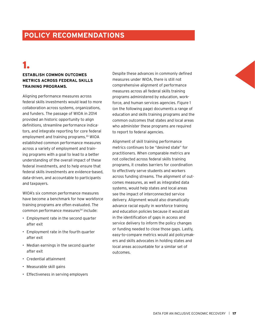### **POLICY RECOMMENDATIONS**

### 1.

#### **ESTABLISH COMMON OUTCOMES METRICS ACROSS FEDERAL SKILLS TRAINING PROGRAMS.**

Aligning performance measures across federal skills investments would lead to more collaboration across systems, organizations, and funders. The passage of WIOA in 2014 provided an historic opportunity to align definitions, streamline performance indicators, and integrate reporting for core federal employment and training programs.<sup>33</sup> WIOA established common performance measures across a variety of employment and training programs with a goal to lead to a better understanding of the overall impact of these federal investments, and to help ensure that federal skills investments are evidence-based, data-driven, and accountable to participants and taxpayers.

WIOA's six common performance measures have become a benchmark for how workforce training programs are often evaluated. The common performance measures<sup>34</sup> include:

- Employment rate in the second quarter after exit
- Employment rate in the fourth quarter after exit
- Median earnings in the second quarter after exit
- Credential attainment
- Measurable skill gains
- Effectiveness in serving employers

Despite these advances in commonly defined measures under WIOA, there is still not comprehensive alignment of performance measures across all federal skills training programs administered by education, workforce, and human services agencies. Figure 1 (on the following page) documents a range of education and skills training programs and the common outcomes that states and local areas who administer these programs are required to report to federal agencies.

Alignment of skill training performance metrics continues to be "desired state" for practitioners. When comparable metrics are not collected across federal skills training programs, it creates barriers for coordination to effectively serve students and workers across funding streams. The alignment of outcomes measures, as well as integrated data systems, would help states and local areas see the impact of interconnected service delivery. Alignment would also dramatically advance racial equity in workforce training and education policies because it would aid in the identification of gaps in access and service delivery to inform the policy changes or funding needed to close those gaps. Lastly, easy-to-compare metrics would aid policymakers and skills advocates in holding states and local areas accountable for a similar set of outcomes.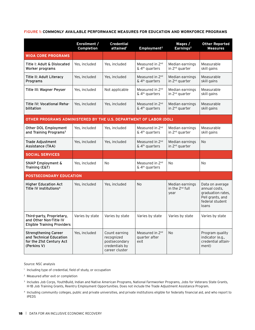#### **FIGURE 1: COMMONLY AVAILABLE PERFORMANCE MEASURES FOR EDUCATION AND WORKFORCE PROGRAMS**

|                                                                                                   | Enrollment /<br>Completion | <b>Credential</b><br>attained <sup>1</sup>                                       | Employment <sup>2</sup>                                   | Wages /<br>Earnings <sup>2</sup>                | <b>Other Reported</b><br><b>Measures</b>                                                              |
|---------------------------------------------------------------------------------------------------|----------------------------|----------------------------------------------------------------------------------|-----------------------------------------------------------|-------------------------------------------------|-------------------------------------------------------------------------------------------------------|
| <b>WIOA CORE PROGRAMS</b>                                                                         |                            |                                                                                  |                                                           |                                                 |                                                                                                       |
| Title I: Adult & Dislocated<br>Worker programs                                                    | Yes, included              | Yes, included                                                                    | Measured in 2 <sup>nd</sup><br>& 4 <sup>th</sup> quarters | Median earnings<br>in 2 <sup>nd</sup> quarter   | Measurable<br>skill gains                                                                             |
| Title II: Adult Literacy<br>Programs                                                              | Yes, included              | Yes, included                                                                    | Measured in 2 <sup>nd</sup><br>& 4 <sup>th</sup> quarters | Median earnings<br>in 2 <sup>nd</sup> quarter   | Measurable<br>skill gains                                                                             |
| Title III: Wagner Peyser                                                                          | Yes, included              | Not applicable                                                                   | Measured in 2 <sup>nd</sup><br>& 4 <sup>th</sup> quarters | Median earnings<br>in 2 <sup>nd</sup> quarter   | Measurable<br>skill gains                                                                             |
| Title IV: Vocational Reha-<br>bilitation                                                          | Yes, included              | Yes, included                                                                    | Measured in 2 <sup>nd</sup><br>& 4 <sup>th</sup> quarters | Median earnings<br>in 2 <sup>nd</sup> quarter   | Measurable<br>skill gains                                                                             |
| OTHER PROGRAMS ADMINISTERED BY THE U.S. DEPARTMENT OF LABOR (DOL)                                 |                            |                                                                                  |                                                           |                                                 |                                                                                                       |
| Other DOL Employment<br>and Training Programs <sup>3</sup>                                        | Yes, included              | Yes, included                                                                    | Measured in 2 <sup>nd</sup><br>& 4 <sup>th</sup> quarters | Median earnings<br>in 2 <sup>nd</sup> quarter   | Measurable<br>skill gains                                                                             |
| <b>Trade Adjustment</b><br>Assistance (TAA)                                                       | Yes, included              | Yes, included                                                                    | Measured in 2 <sup>nd</sup><br>& 4 <sup>th</sup> quarters | Median earnings<br>in 2 <sup>nd</sup> quarter   | No                                                                                                    |
| <b>SOCIAL SERVICES</b>                                                                            |                            |                                                                                  |                                                           |                                                 |                                                                                                       |
| <b>SNAP Employment &amp;</b><br>Training (E&T)                                                    | Yes, included              | <b>No</b>                                                                        | Measured in 2 <sup>nd</sup><br>& 4 <sup>th</sup> quarters | <b>No</b>                                       | <b>No</b>                                                                                             |
| POSTSECONDARY EDUCATION                                                                           |                            |                                                                                  |                                                           |                                                 |                                                                                                       |
| <b>Higher Education Act</b><br>Title IV institutions <sup>4</sup>                                 | Yes, included              | Yes, included                                                                    | <b>No</b>                                                 | Median earnings<br>in the $2^{nd}$ full<br>vear | Data on average<br>annual costs,<br>graduation rates,<br>Pell grants, and<br>federal student<br>loans |
| Third-party, Proprietary,<br>and Other Non-Title IV<br><b>Eligible Training Providers</b>         | Varies by state            | Varies by state                                                                  | Varies by state                                           | Varies by state                                 | Varies by state                                                                                       |
| <b>Strengthening Career</b><br>and Technical Education<br>for the 21st Century Act<br>(Perkins V) | Yes, included              | Count earning<br>recognized<br>postsecondary<br>credentials by<br>career cluster | Measured in 2 <sup>nd</sup><br>quarter after<br>exit      | N <sub>o</sub>                                  | Program quality<br>indicator (e.g.,<br>credential attain-<br>ment)                                    |

Source: NSC analysis

<sup>1</sup> Including type of credential, field of study, or occupation

<sup>2</sup> Measured after exit or completion

<sup>3</sup> Includes Job Corps, YouthBuild, Indian and Native American Programs, National Farmworker Programs, Jobs for Veterans State Grants, H-1B Job Training Grants, Reentry Employment Opportunities. Does not include the Trade Adjustment Assistance Program.

<sup>4</sup> Including community colleges, public and private universities, and private institutions eligible for federally financial aid, and who report to IPEDS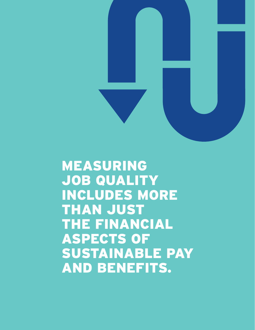

MEASURING JOB QUALITY INCLUDES MORE THAN JUST THE FINANCIAL ASPECTS OF SUSTAINABLE PAY AND BENEFITS.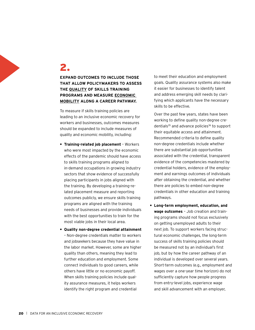### 2.

#### **EXPAND OUTCOMES TO INCLUDE THOSE THAT ALLOW POLICYMAKERS TO ASSESS THE QUALITY OF SKILLS TRAINING PROGRAMS AND MEASURE ECONOMIC MOBILITY ALONG A CAREER PATHWAY.**

To measure if skills training policies are leading to an inclusive economic recovery for workers and businesses, outcomes measures should be expanded to include measures of quality and economic mobility, including:

- **• Training-related job placement** Workers who were most impacted by the economic effects of the pandemic should have access to skills training programs aligned to in-demand occupations in growing industry sectors that show evidence of successfully placing participants in jobs aligned with the training. By developing a training-related placement measure and reporting outcomes publicly, we ensure skills training programs are aligned with the training needs of businesses and provide individuals with the best opportunities to train for the most viable jobs in their local area.
- **• Quality non-degree credential attainment** – Non-degree credentials matter to workers and jobseekers because they have value in the labor market. However, some are higher quality than others, meaning they lead to further education and employment. Some connect individuals to good careers, while others have little or no economic payoff. When skills training policies include quality assurance measures, it helps workers identify the right program and credential

to meet their education and employment goals. Quality assurance systems also make it easier for businesses to identify talent and address emerging skill needs by clarifying which applicants have the necessary skills to be effective.

Over the past few years, states have been working to define quality non-degree credentials<sup>35</sup> and advance policies<sup>36</sup> to support their equitable access and attainment. Recommended criteria to define quality non-degree credentials include whether there are substantial job opportunities associated with the credential, transparent evidence of the competencies mastered by credential holders, evidence of the employment and earnings outcomes of individuals after obtaining the credential, and whether there are policies to embed non-degree credentials in other education and training pathways.

**• Long-term employment, education, and wage outcomes** – Job creation and training programs should not focus exclusively on getting unemployed adults to their next job. To support workers facing structural economic challenges, the long-term success of skills training policies should be measured not by an individual's first job, but by how the career pathway of an individual is developed over several years. Short-term outcomes (e.g., employment and wages over a one-year time horizon) do not sufficiently capture how people progress from entry-level jobs, experience wage and skill advancement with an employer,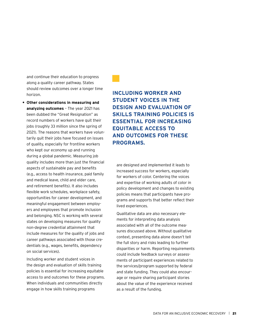and continue their education to progress along a quality career pathway. States should review outcomes over a longer time horizon.

**• Other considerations in measuring and analyzing outcomes** – The year 2021 has been dubbed the "Great Resignation" as record numbers of workers have quit their jobs (roughly 33 million since the spring of 2021). The reasons that workers have voluntarily quit their jobs have focused on issues of quality, especially for frontline workers who kept our economy up and running during a global pandemic. Measuring job quality includes more than just the financial aspects of sustainable pay and benefits (e.g., access to health insurance, paid family and medical leave, child and elder care, and retirement benefits). It also includes flexible work schedules, workplace safety, opportunities for career development, and meaningful engagement between employers and employees that promote inclusion and belonging. NSC is working with several states on developing measures for quality non-degree credential attainment that include measures for the quality of jobs and career pathways associated with those credentials (e.g., wages, benefits, dependency on social services).

Including worker and student voices in the design and evaluation of skills training policies is essential for increasing equitable access to and outcomes for these programs. When individuals and communities directly engage in how skills training programs

**INCLUDING WORKER AND STUDENT VOICES IN THE DESIGN AND EVALUATION OF SKILLS TRAINING POLICIES IS ESSENTIAL FOR INCREASING EQUITABLE ACCESS TO AND OUTCOMES FOR THESE PROGRAMS.**

are designed and implemented it leads to increased success for workers, especially for workers of color. Centering the voices and expertise of working adults of color in policy development and changes to existing policies means that participants have programs and supports that better reflect their lived experiences.

Qualitative data are also necessary elements for interpreting data analysis associated with all of the outcome measures discussed above. Without qualitative context, presenting data alone doesn't tell the full story and risks leading to further disparities or harm. Reporting requirements could include feedback surveys or assessments of participant experiences related to the services/program supported by federal and state funding. They could also encourage or require sharing participant stories about the value of the experience received as a result of the funding.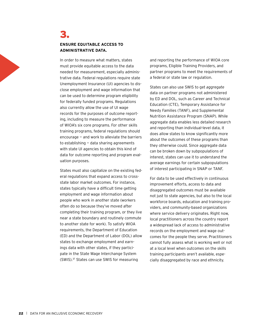#### 3. **ENSURE EQUITABLE ACCESS TO ADMINISTRATIVE DATA.**

In order to measure what matters, states must provide equitable access to the data needed for measurement, especially administrative data. Federal regulations require state Unemployment Insurance (UI) agencies to disclose employment and wage information that can be used to determine program eligibility for federally funded programs. Regulations also currently allow the use of UI wage records for the purposes of outcome reporting, including to measure the performance of WIOA's six core programs. For other skills training programs, federal regulations should encourage — and work to alleviate the barriers to establishing — data sharing agreements with state UI agencies to obtain this kind of data for outcome reporting and program evaluation purposes.

States must also capitalize on the existing federal regulations that expand access to crossstate labor market outcomes. For instance, states typically have a difficult time getting employment and wage information about people who work in another state (workers often do so because they've moved after completing their training program, or they live near a state boundary and routinely commute to another state for work). To satisfy WIOA requirements, the Department of Education (ED) and the Department of Labor (DOL) allow states to exchange employment and earnings data with other states, if they participate in the State Wage Interchange System (SWIS).37 States can use SWIS for measuring

and reporting the performance of WIOA core programs, Eligible Training Providers, and partner programs to meet the requirements of a federal or state law or regulation.

States can also use SWIS to get *aggregate* data on partner programs not administered by ED and DOL, such as Career and Technical Education (CTE), Temporary Assistance for Needy Families (TANF), and Supplemental Nutrition Assistance Program (SNAP). While aggregate data enables less detailed research and reporting than individual-level data, it does allow states to know significantly more about the outcomes of these programs than they otherwise could. Since aggregate data can be broken down by subpopulations of interest, states can use it to understand the average earnings for certain subpopulations of interest participating in SNAP or TANF.

For data to be used effectively in continuous improvement efforts, access to data and disaggregated outcomes must be available not just to state agencies, but also to the local workforce boards, education and training providers, and community-based organizations where service delivery originates. Right now, local practitioners across the country report a widespread lack of access to administrative records on the employment and wage outcomes for the people they serve. Practitioners cannot fully assess what is working well or not at a local level when outcomes on the skills training participants aren't available, especially disaggregated by race and ethnicity.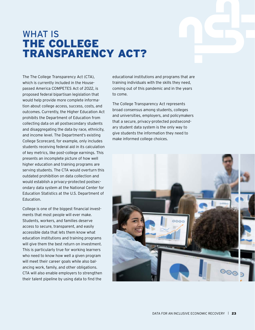### WHAT IS THE COLLEGE TRANSPARENCY ACT?

The The College Transparency Act (CTA), which is currently included in the Housepassed America COMPETES Act of 2022, is proposed federal bipartisan legislation that would help provide more complete information about college access, success, costs, and outcomes. Currently, the Higher Education Act prohibits the Department of Education from collecting data on all postsecondary students and disaggregating the data by race, ethnicity, and income level. The Department's existing College Scorecard, for example, only includes students receiving federal aid in its calculation of key metrics, like post-college earnings. This presents an incomplete picture of how well higher education and training programs are serving students. The CTA would overturn this outdated prohibition on data collection and would establish a privacy-protected postsecondary data system at the National Center for Education Statistics at the U.S. Department of Education.

College is one of the biggest financial investments that most people will ever make. Students, workers, and families deserve access to secure, transparent, and easily accessible data that lets them know what education institutions and training programs will give them the best return on investment. This is particularly true for working learners who need to know how well a given program will meet their career goals while also balancing work, family, and other obligations. CTA will also enable employers to strengthen their talent pipeline by using data to find the

educational institutions and programs that are training individuals with the skills they need, coming out of this pandemic and in the years to come.

The College Transparency Act represents broad consensus among students, colleges and universities, employers, and policymakers that a secure, privacy-protected postsecondary student data system is the only way to give students the information they need to make informed college choices.

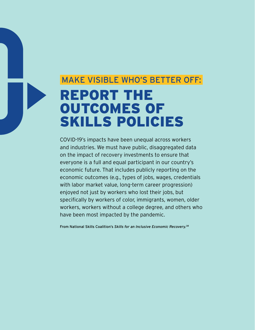## MAKE VISIBLE WHO'S BETTER OFF: REPORT THE OUTCOMES OF SKILLS POLICIES

COVID-19's impacts have been unequal across workers and industries. We must have public, disaggregated data on the impact of recovery investments to ensure that everyone is a full and equal participant in our country's economic future. That includes publicly reporting on the economic outcomes (e.g., types of jobs, wages, credentials with labor market value, long-term career progression) enjoyed not just by workers who lost their jobs, but specifically by workers of color, immigrants, women, older workers, workers without a college degree, and others who have been most impacted by the pandemic.

From National Skills Coalition's *[Skills for an Inclusive Economic Recovery.](https://www.nationalskillscoalition.org/resource/publications/skills-for-an-inclusive-economic-recovery/) 38*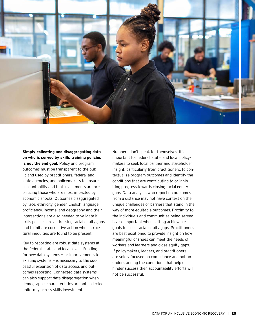

#### **Simply collecting and disaggregating data on who is served by skills training policies**

**is not the end goal.** Policy and program outcomes must be transparent to the public and used by practitioners, federal and state agencies, and policymakers to ensure accountability and that investments are prioritizing those who are most impacted by economic shocks. Outcomes disaggregated by race, ethnicity, gender, English language proficiency, income, and geography and their intersections are also needed to validate if skills policies are addressing racial equity gaps and to initiate corrective action when structural inequities are found to be present.

Key to reporting are robust data systems at the federal, state, and local levels. Funding for new data systems — or improvements to existing systems — is necessary to the successful expansion of data access and outcomes reporting. Connected data systems can also support data disaggregation when demographic characteristics are not collected uniformly across skills investments.

Numbers don't speak for themselves. It's important for federal, state, and local policymakers to seek local partner and stakeholder insight, particularly from practitioners, to contextualize program outcomes and identify the conditions that are contributing to or inhibiting progress towards closing racial equity gaps. Data analysts who report on outcomes from a distance may not have context on the unique challenges or barriers that stand in the way of more equitable outcomes. Proximity to the individuals and communities being served is also important when setting achievable goals to close racial equity gaps. Practitioners are best positioned to provide insight on how meaningful changes can meet the needs of workers and learners and close equity gaps. If policymakers, leaders, and practitioners are solely focused on compliance and not on understanding the conditions that help or hinder success then accountability efforts will not be successful.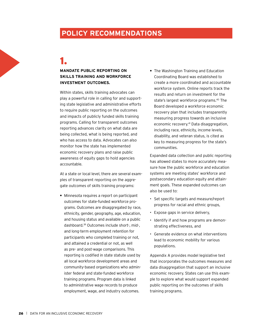### **POLICY RECOMMENDATIONS**

### 1.

#### **MANDATE PUBLIC REPORTING ON SKILLS TRAINING AND WORKFORCE INVESTMENT OUTCOMES.**

Within states, skills training advocates can play a powerful role in calling for and supporting state legislative and administrative efforts to require public reporting on the outcomes and impacts of publicly funded skills training programs. Calling for transparent outcomes reporting advances clarity on what data are being collected, what is being reported, and who has access to data. Advocates can also monitor how the state has implemented economic recovery plans and raise public awareness of equity gaps to hold agencies accountable.

At a state or local level, there are several examples of transparent reporting on the aggregate outcomes of skills training programs:

**•** Minnesota requires a report on participant outcomes for state-funded workforce programs. Outcomes are disaggregated by race, ethnicity, gender, geography, age, education, and housing status and available on a public dashboard. 39 Outcomes include short-, mid-, and long-term employment retention for participants who completed training or not, and attained a credential or not, as well as pre- and post-wage comparisons. This reporting is codified in state statute used by all local workforce development areas and community-based organizations who administer federal and state-funded workforce training programs. Program data is linked to administrative wage records to produce employment, wage, and industry outcomes.

**•** The Washington Training and Education Coordinating Board was established to create a more coordinated and accountable workforce system. Online reports track the results and return on investment for the state's largest workforce programs.40 The Board developed a workforce economic recovery plan that includes transparently measuring progress towards an inclusive economic recovery.41 Data disaggregation, including race, ethnicity, income levels, disability, and veteran status, is cited as key to measuring progress for the state's communities.

Expanded data collection and public reporting has allowed states to more accurately measure how the public workforce and education systems are meeting states' workforce and postsecondary education equity and attainment goals. These expanded outcomes can also be used to:

- Set specific targets and measure/report progress for racial and ethnic groups,
- Expose gaps in service delivery,
- Identify if and how programs are demonstrating effectiveness, and
- Generate evidence on what interventions lead to economic mobility for various populations.

Appendix A provides model legislative text that incorporates the outcomes measures and data disaggregation that support an inclusive economic recovery. States can use this example to explore what would support expanded public reporting on the outcomes of skills training programs.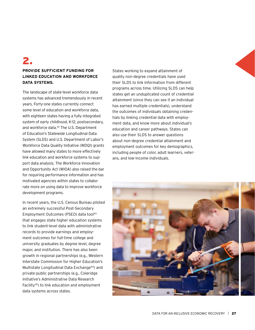### 2.

#### **PROVIDE SUFFICIENT FUNDING FOR LINKED EDUCATION AND WORKFORCE DATA SYSTEMS.**

The landscape of state-level workforce data systems has advanced tremendously in recent years. Forty-one states currently connect some level of education and workforce data, with eighteen states having a fully integrated system of early childhood, K-12, postsecondary, and workforce data.<sup>42</sup> The U.S. Department of Education's Statewide Longitudinal Data System (SLDS) and U.S. Department of Labor's Workforce Data Quality Initiative (WDQI) grants have allowed many states to more effectively link education and workforce systems to support data analysis. The Workforce Innovation and Opportunity Act (WIOA) also raised the bar for requiring performance information and has motivated agencies within states to collaborate more on using data to improve workforce development programs.

In recent years, the U.S. Census Bureau piloted an extremely successful Post-Secondary Employment Outcomes (PSEO) data tool<sup>43</sup> that engages state higher education systems to link student-level data with administrative records to provide earnings and employment outcomes for full-time college and university graduates by degree level, degree major, and institution. There has also been growth in regional partnerships (e.g., Western Interstate Commission for Higher Education's Multistate Longitudinal Data Exchange<sup>44</sup>) and private-public partnerships (e.g., Coleridge Initiative's Administrative Data Research Facility45) to link education and employment data systems across states.

States working to expand attainment of quality non-degree credentials have used their SLDS to link information from different programs across time. Utilizing SLDS can help states get an unduplicated count of credential attainment (since they can see if an individual has earned multiple credentials), understand the outcomes of individuals obtaining credentials by linking credential data with employment data, and know more about individual's education and career pathways. States can also use their SLDS to answer questions about non-degree credential attainment and employment outcomes for key demographics, including people of color, adult learners, veterans, and low-income individuals.

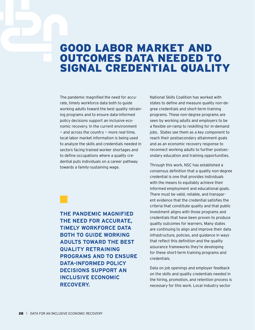### GOOD LABOR MARKET AND OUTCOMES DATA NEEDED TO SIGNAL CREDENTIAL QUALITY

The pandemic magnified the need for accurate, timely workforce data both to guide working adults toward the best quality retraining programs and to ensure data-informed policy decisions support an inclusive economic recovery. In the current environment  $-$  and across the country  $-$  more real-time, local labor market information is being used to analyze the skills and credentials needed in sectors facing trained worker shortages and to define occupations where a quality credential puts individuals on a career pathway towards a family-sustaining wage.

**THE PANDEMIC MAGNIFIED THE NEED FOR ACCURATE, TIMELY WORKFORCE DATA BOTH TO GUIDE WORKING ADULTS TOWARD THE BEST QUALITY RETRAINING PROGRAMS AND TO ENSURE DATA-INFORMED POLICY DECISIONS SUPPORT AN INCLUSIVE ECONOMIC RECOVERY.**

National Skills Coalition has worked with states to define and measure quality non-degree credentials and short-term training programs. These non-degree programs are seen by working adults and employers to be a flexible on-ramp to reskilling for in-demand jobs. States see them as a key component to reach their postsecondary attainment goals and as an economic recovery response to reconnect working adults to further postsecondary education and training opportunities.

Through this work, NSC has established a consensus definition that a quality non-degree credential is one that provides individuals with the means to equitably achieve their informed employment and educational goals. There must be valid, reliable, and transparent evidence that the credential satisfies the criteria that constitute quality and that public investment aligns with those programs and credentials that have been proven to produce quality outcomes for learners. Many states are continuing to align and improve their data infrastructure, policies, and guidance in ways that reflect this definition and the quality assurance frameworks they're developing for these short-term training programs and credentials.

Data on job openings and employer feedback on the skills and quality credentials needed in the hiring, promotion, and retention process is necessary for this work. Local industry sector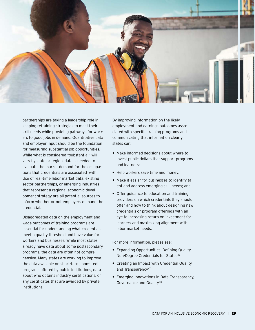

partnerships are taking a leadership role in shaping retraining strategies to meet their skill needs while providing pathways for workers to good jobs in demand. Quantitative data and employer input should be the foundation for measuring substantial job opportunities. While what is considered "substantial" will vary by state or region, data is needed to evaluate the market demand for the occupations that credentials are associated with. Use of real-time labor market data, existing sector partnerships, or emerging industries that represent a regional economic development strategy are all potential sources to inform whether or not employers demand the credential.

Disaggregated data on the employment and wage outcomes of training programs are essential for understanding what credentials meet a quality threshold and have value for workers and businesses. While most states already have data about some postsecondary programs, the data are often not comprehensive. Many states are working to improve the data available on short-term, non-credit programs offered by public institutions, data about who obtains industry certifications, or any certificates that are awarded by private institutions.

By improving information on the likely employment and earnings outcomes associated with specific training programs and communicating that information clearly, states can:

- **•** Make informed decisions about where to invest public dollars that support programs and learners;
- **•** Help workers save time and money;
- **•** Make it easier for businesses to identify talent and address emerging skill needs; and
- **•** Offer guidance to education and training providers on which credentials they should offer and how to think about designing new credentials or program offerings with an eye to increasing return on investment for learners and maximizing alignment with labor market needs.

For more information, please see:

- **•** Expanding Opportunities: Defining Quality Non-Degree Credentials for States<sup>46</sup>
- **•** Creating an Impact with Credential Quality and Transparency<sup>47</sup>
- **•** Emerging Innovations in Data Transparency, Governance and Quality48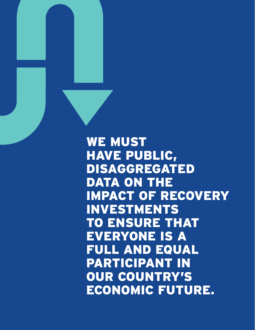WE MUST HAVE PUBLIC, DISAGGREGATED DATA ON THE IMPACT OF RECOVERY INVESTMENTS TO ENSURE THAT EVERYONE IS A FULL AND EQUAL PARTICIPANT IN OUR COUNTRY'S ECONOMIC FUTURE.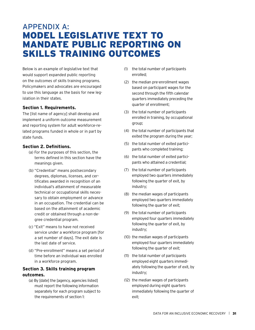### APPENDIX A: MODEL LEGISLATIVE TEXT TO MANDATE PUBLIC REPORTING ON SKILLS TRAINING OUTCOMES

Below is an example of legislative text that would support expanded public reporting on the outcomes of skills training programs. Policymakers and advocates are encouraged to use this language as the basis for new legislation in their states.

#### **Section 1. Requirements.**

The [list name of agency] shall develop and implement a uniform outcome measurement and reporting system for adult workforce-related programs funded in whole or in part by state funds.

#### **Section 2. Definitions.**

- (a) For the purposes of this section, the terms defined in this section have the meanings given.
- (b) "Credential" means postsecondary degrees, diplomas, licenses, and certificates awarded in recognition of an individual's attainment of measurable technical or occupational skills necessary to obtain employment or advance in an occupation. The credential can be based on the attainment of academic credit or obtained through a non-degree credential program.
- (c) "Exit" means to have not received service under a workforce program [for a set number of days]. The exit date is the last date of service.
- (d) "Pre-enrollment" means a set period of time before an individual was enrolled in a workforce program.

#### **Section 3. Skills training program outcomes.**

(a) By [date] the [agency, agencies listed] must report the following information separately for each program subject to the requirements of section 1:

- (1) the total number of participants enrolled;
- (2) the median pre-enrollment wages based on participant wages for the second through the fifth calendar quarters immediately preceding the quarter of enrollment;
- (3) the total number of participants enrolled in training, by occupational group;
- (4) the total number of participants that exited the program during the year;
- (5) the total number of exited participants who completed training;
- (6) the total number of exited participants who attained a credential;
- (7) the total number of participants employed two quarters immediately following the quarter of exit, by industry;
- (8) the median wages of participants employed two quarters immediately following the quarter of exit;
- (9) the total number of participants employed four quarters immediately following the quarter of exit, by industry;
- (10) the median wages of participants employed four quarters immediately following the quarter of exit;
- (11) the total number of participants employed eight quarters immediately following the quarter of exit, by industry;
- (12) the median wages of participants employed during eight quarters immediately following the quarter of exit;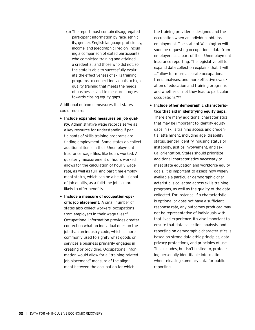(b) The report must contain disaggregated participant information by race, ethnicity, gender, English language proficiency, income, and [geographic] region, including a comparison of exited participants who completed training and attained a credential, and those who did not, so the state is able to successfully evaluate the effectiveness of skills training programs to connect individuals to high quality training that meets the needs of businesses and to measure progress towards closing equity gaps.

Additional outcome measures that states could require:

- **• Include expanded measures on job quality.** Administrative wage records serve as a key resource for understanding if participants of skills training programs are finding employment. Some states do collect additional items in their Unemployment Insurance wage files, like hours worked. A quarterly measurement of hours worked allows for the calculation of hourly wage rate, as well as full- and part-time employment status, which can be a helpful signal of job quality, as a full-time job is more likely to offer benefits.
- **• Include a measure of occupation-specific job placement.** A small number of states also collect workers' occupations from employers in their wage files.49 Occupational information provides greater context on what an individual does on the job than an industry code, which is more commonly used to signify what goods or services a business primarily engages in creating or providing. Occupational information would allow for a "training-related job placement" measure of the alignment between the occupation for which

the training provider is designed and the occupation when an individual obtains employment. The state of Washington will soon be requesting occupational data from employers as a part of their Unemployment Insurance reporting. The legislative bill to expand data collection explains that it will …"allow for more accurate occupational trend analyses, and more effective evaluation of education and training programs and whether or not they lead to particular occupations."50

**• Include other demographic characteristics that aid in identifying equity gaps.** There are many additional characteristics that may be important to identify equity gaps in skills training access and credential attainment, including age, disability status, gender identify, housing status or instability, justice involvement, and sexual orientation. States should prioritize additional characteristics necessary to meet state education and workforce equity goals. It is important to assess how widely available a particular demographic characteristic is collected across skills training programs, as well as the quality of the data collected. For instance, if a characteristic is optional or does not have a sufficient response rate, any outcomes produced may not be representative of individuals with that lived experience. It's also important to ensure that data collection, analysis, and reporting on demographic characteristics is based on strong data ethic principles, data privacy protections, and principles of use. This includes, but isn't limited to, protecting personally identifiable information when releasing summary data for public reporting.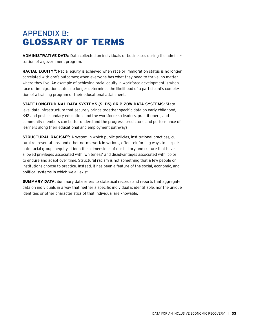### APPENDIX B: GLOSSARY OF TERMS

**ADMINISTRATIVE DATA:** Data collected on individuals or businesses during the administration of a government program.

**RACIAL EQUITY51:** Racial equity is achieved when race or immigration status is no longer correlated with one's outcomes; when everyone has what they need to thrive, no matter where they live. An example of achieving racial equity in workforce development is when race or immigration status no longer determines the likelihood of a participant's completion of a training program or their educational attainment.

**STATE LONGITUDINAL DATA SYSTEMS (SLDS) OR P-20W DATA SYSTEMS:** Statelevel data infrastructure that securely brings together specific data on early childhood, K-12 and postsecondary education, and the workforce so leaders, practitioners, and community members can better understand the progress, predictors, and performance of learners along their educational and employment pathways.

**STRUCTURAL RACISM52:** A system in which public policies, institutional practices, cultural representations, and other norms work in various, often reinforcing ways to perpetuate racial group inequity. It identifies dimensions of our history and culture that have allowed privileges associated with 'whiteness' and disadvantages associated with 'color' to endure and adapt over time. Structural racism is not something that a few people or institutions choose to practice. Instead, it has been a feature of the social, economic, and political systems in which we all exist.

**SUMMARY DATA:** Summary data refers to statistical records and reports that aggregate data on individuals in a way that neither a specific individual is identifiable, nor the unique identities or other characteristics of that individual are knowable.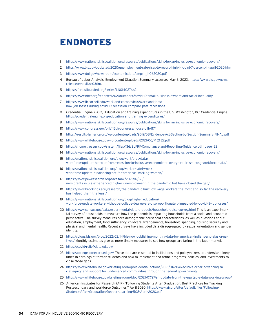### ENDNOTES

- 1 <https://www.nationalskillscoalition.org/resource/publications/skills-for-an-inclusive-economic-recovery/>
- 2 <https://www.bls.gov/opub/ted/2020/unemployment-rate-rises-to-record-high-14-point-7-percent-in-april-2020.htm>
- 3 [https://www.dol.gov/newsroom/economicdata/empsit\\_11062020.pdf](https://www.dol.gov/newsroom/economicdata/empsit_11062020.pdf)
- 4 Bureau of Labor Analysis, Employment Situation Summary, accessed May 6, 2022, [https://www.bls.gov/news.](https://www.bls.gov/news.release/empsit.nr0.htm) [release/empsit.nr0.htm](https://www.bls.gov/news.release/empsit.nr0.htm).
- 5 <https://fred.stlouisfed.org/series/LNS14027662>
- 6 <https://www.nber.org/reporter/2020number4/covid-19-small-business-owners-and-racial-inequality>
- 7 [https://www.ilr.cornell.edu/work-and-coronavirus/work-and-jobs/](https://www.ilr.cornell.edu/work-and-coronavirus/work-and-jobs/how-job-losses-during-covid-19-recession-compare-past-recessions) [how-job-losses-during-covid-19-recession-compare-past-recessions](https://www.ilr.cornell.edu/work-and-coronavirus/work-and-jobs/how-job-losses-during-covid-19-recession-compare-past-recessions)
- 8 Credential Engine. (2021). Education and training expenditures in the U.S. Washington, DC: Credential Engine. <https://credentialengine.org/education-and-training-expenditures/>
- 9 <https://www.nationalskillscoalition.org/resource/publications/skills-for-an-inclusive-economic-recovery/>
- 10 <https://www.congress.gov/bill/115th-congress/house-bill/4174>
- 11 <https://results4america.org/wp-content/uploads/2019/08/Evidence-Act-Section-by-Section-Summary-FINAL.pdf>
- 12 <https://www.whitehouse.gov/wp-content/uploads/2021/06/M-21-27.pdf>
- 13 https://home.treasury.gov/system/files/136/SLFRF-Compliance-and-Reporting-Guidance.pdf#page=23
- 14 <https://www.nationalskillscoalition.org/resource/publications/skills-for-an-inclusive-economic-recovery/>
- 15 [https://nationalskillscoalition.org/blog/workforce-data/](https://nationalskillscoalition.org/blog/workforce-data/workforce-update-the-road-from-recession-to-inclusive-economic-recovery-requires-strong-workforce-data/) [workforce-update-the-road-from-recession-to-inclusive-economic-recovery-requires-strong-workforce-data/](https://nationalskillscoalition.org/blog/workforce-data/workforce-update-the-road-from-recession-to-inclusive-economic-recovery-requires-strong-workforce-data/)
- 16 [https://nationalskillscoalition.org/blog/worker-safety-net/](https://nationalskillscoalition.org/blog/worker-safety-net/workforce-update-a-balancing-act-for-americas-working-women/) [workforce-update-a-balancing-act-for-americas-working-women/](https://nationalskillscoalition.org/blog/worker-safety-net/workforce-update-a-balancing-act-for-americas-working-women/)
- 17 [https://www.pewresearch.org/fact-tank/2021/07/26/](https://www.pewresearch.org/fact-tank/2021/07/26/immigrants-in-u-s-experienced-higher-unemployment-in-the-pandemic-but-have-closed-the-gap/) [immigrants-in-u-s-experienced-higher-unemployment-in-the-pandemic-but-have-closed-the-gap/](https://www.pewresearch.org/fact-tank/2021/07/26/immigrants-in-u-s-experienced-higher-unemployment-in-the-pandemic-but-have-closed-the-gap/)
- 18 [https://www.brookings.edu/research/the-pandemic-hurt-low-wage-workers-the-most-and-so-far-the-recovery](https://www.brookings.edu/research/the-pandemic-hurt-low-wage-workers-the-most-and-so-far-the-recovery-has-helped-them-the-least/)[has-helped-them-the-least/](https://www.brookings.edu/research/the-pandemic-hurt-low-wage-workers-the-most-and-so-far-the-recovery-has-helped-them-the-least/)
- 19 [https://www.nationalskillscoalition.org/blog/higher-education/](https://www.nationalskillscoalition.org/blog/higher-education/workforce-update-workers-without-a-college-degree-are-disproportionately-impacted-by-covid-19-job-losses/) [workforce-update-workers-without-a-college-degree-are-disproportionately-impacted-by-covid-19-job-losses/](https://www.nationalskillscoalition.org/blog/higher-education/workforce-update-workers-without-a-college-degree-are-disproportionately-impacted-by-covid-19-job-losses/)
- 20 <https://www.census.gov/data/experimental-data-products/household-pulse-survey.html> This is an experimental survey of households to measure how the pandemic is impacting households from a social and economic perspective. The survey measures core demographic household characteristics, as well as questions about education, employment, food sufficiency, childcare arrangements, household spending, housing security and physical and mental health. Recent surveys have included data disaggregated by sexual orientation and gender identity.
- 21 [https://blogs.bls.gov/blog/2022/02/14/bls-now-publishing-monthly-data-for-american-indians-and-alaska-na](https://blogs.bls.gov/blog/2022/02/14/bls-now-publishing-monthly-data-for-american-indians-and-alaska-natives/)[tives/](https://blogs.bls.gov/blog/2022/02/14/bls-now-publishing-monthly-data-for-american-indians-and-alaska-natives/) Monthly estimates give us more timely measures to see how groups are faring in the labor market.
- 22 <https://covid-relief-data.ed.gov/>
- 23 <https://collegescorecard.ed.gov/> These data are essential to institutions and policymakers to understand inequities in earnings of former students and how to implement and refine programs, policies, and investments to close those gaps.
- 24 [https://www.whitehouse.gov/briefing-room/presidential-actions/2021/01/20/executive-order-advancing-ra](https://www.whitehouse.gov/briefing-room/presidential-actions/2021/01/20/executive-order-advancing-racial-equity-and-support-for-underserved-communities-through-the-federal-government/)[cial-equity-and-support-for-underserved-communities-through-the-federal-government/](https://www.whitehouse.gov/briefing-room/presidential-actions/2021/01/20/executive-order-advancing-racial-equity-and-support-for-underserved-communities-through-the-federal-government/)
- 25 <https://www.whitehouse.gov/briefing-room/blog/2021/07/27/an-update-from-the-equitable-data-working-group/>
- 26 American Institutes for Research (AIR) "Following Students After Graduation: Best Practices for Tracking Postsecondary and Workforce Outcomes," April 2020; [https://www.air.org/sites/default/files/Following-](https://www.air.org/sites/default/files/Following-Students-After-Graduation-Deeper-Learning-508-April-2020.pdf)[Students-After-Graduation-Deeper-Learning-508-April-2020.pdf](https://www.air.org/sites/default/files/Following-Students-After-Graduation-Deeper-Learning-508-April-2020.pdf)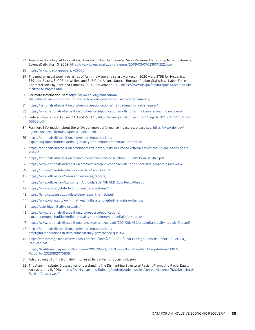- American Sociological Association, Diversity Linked To Increased Sales Revenue And Profits, More Customers, ScienceDaily, April 3, 2009, [https://www.sciencedaily.com/releases/2009/03/090331091252.htm.](https://www.sciencedaily.com/releases/2009/03/090331091252.htm)
- <https://www.nber.org/papers/w27660>
- The median usual weekly earnings of full-time wage and salary workers in 2020 were \$758 for Hispanics, \$794 for Blacks, \$1,003 for Whites, and \$1,310 for Asians. Source: Bureau of Labor Statistics, "Labor Force Characteristics by Race and Ethnicity, 2020," November 2021; [https://www.bls.gov/opub/reports/race-and-eth](https://www.bls.gov/opub/reports/race-and-ethnicity/2020/home.htm)[nicity/2020/home.htm](https://www.bls.gov/opub/reports/race-and-ethnicity/2020/home.htm)
- For more information, see: [https://www.epi.org/publication/](https://www.epi.org/publication/the-color-of-law-a-forgotten-history-of-how-our-government-segregated-america) [the-color-of-law-a-forgotten-history-of-how-our-government-segregated-america/](https://www.epi.org/publication/the-color-of-law-a-forgotten-history-of-how-our-government-segregated-america)
- <https://nationalskillscoalition.org/resource/publications/the-roadmap-for-racial-equity/>
- <https://www.nationalskillscoalition.org/resource/publications/skills-for-an-inclusive-economic-recovery/>
- Federal Register, vol. 80, no. 73, April 16, 2015, [https://www.govinfo.gov/content/pkg/FR-2015-04-16/pdf/2015-](https://www.govinfo.gov/content/pkg/FR-2015-04-16/pdf/2015-05530.pdf) [05530.pdf](https://www.govinfo.gov/content/pkg/FR-2015-04-16/pdf/2015-05530.pdf)
- For more information about the WIOA common performance measures, please see: [https://www.dol.gov/](https://www.dol.gov/agencies/eta/performance/performance-indicators) [agencies/eta/performance/performance-indicators](https://www.dol.gov/agencies/eta/performance/performance-indicators)
- [https://nationalskillscoalition.org/resource/publications/](https://nationalskillscoalition.org/resource/publications/expanding-opportunities-defining-quality-non-degree-credentials-for-states/) [expanding-opportunities-defining-quality-non-degree-credentials-for-states/](https://nationalskillscoalition.org/resource/publications/expanding-opportunities-defining-quality-non-degree-credentials-for-states/)
- [https://nationalskillscoalition.org/blog/news/how-quality-assurance-criteria-serves-the-unique-needs-of-six](https://nationalskillscoalition.org/blog/news/how-quality-assurance-criteria-serves-the-unique-needs-of-six-states/)[states/](https://nationalskillscoalition.org/blog/news/how-quality-assurance-criteria-serves-the-unique-needs-of-six-states/)
- <https://nationalskillscoalition.org/wp-content/uploads/2020/12/NSC-SWIS-Booklet-MR-1.pdf>
- <https://www.nationalskillscoalition.org/resource/publications/skills-for-an-inclusive-economic-recovery/>
- <https://mn.gov/deed/data/workforce-data/report-card/>
- <https://www.wtb.wa.gov/research-resources/reports/>
- [https://www.wtb.wa.gov/wp-content/uploads/2021/01/WEB\\_EconRecovPlan.pdf](https://www.wtb.wa.gov/wp-content/uploads/2021/01/WEB_EconRecovPlan.pdf)
- <https://www.ecs.org/state-longitudinal-data-systems/>
- [https://lehd.ces.census.gov/data/pseo\\_experimental.html](https://lehd.ces.census.gov/data/pseo_experimental.html)
- <https://www.wiche.edu/key-initiatives/multistate-longitudinal-data-exchange/>
- <https://coleridgeinitiative.org/adrf/>
- [https://www.nationalskillscoalition.org/resource/publications/](https://www.nationalskillscoalition.org/resource/publications/expanding-opportunities-defining-quality-non-degree-credentials-for-states/) [expanding-opportunities-defining-quality-non-degree-credentials-for-states/](https://www.nationalskillscoalition.org/resource/publications/expanding-opportunities-defining-quality-non-degree-credentials-for-states/)
- [https://www.nationalskillscoalition.org/wp-content/uploads/2021/08/NSC-credential-quality\\_toolkit\\_final.pdf](https://www.nationalskillscoalition.org/wp-content/uploads/2021/08/NSC-credential-quality_toolkit_final.pdf)
- [https://nationalskillscoalition.org/resource/publications/](https://nationalskillscoalition.org/resource/publications/emerging-innovations-in-data-transparency-governance-quality/) [emerging-innovations-in-data-transparency-governance-quality/](https://nationalskillscoalition.org/resource/publications/emerging-innovations-in-data-transparency-governance-quality/)
- [https://crecstorage.blob.core.windows.net/lmii/sites/4/2022/02/Final-UI-Wage-Records-Report-20220124\\_](https://crecstorage.blob.core.windows.net/lmii/sites/4/2022/02/Final-UI-Wage-Records-Report-20220124_Reduced.pdf) [Reduced.pdf](https://crecstorage.blob.core.windows.net/lmii/sites/4/2022/02/Final-UI-Wage-Records-Report-20220124_Reduced.pdf)
- [https://lawfilesext.leg.wa.gov/biennium/2019-20/Pdf/Bills/House%20Passed%20Legislature/2308-S.](https://lawfilesext.leg.wa.gov/biennium/2019-20/Pdf/Bills/House%20Passed%20Legislature/2308-S.PL.pdf?q=20210812070838) [PL.pdf?q=20210812070838](https://lawfilesext.leg.wa.gov/biennium/2019-20/Pdf/Bills/House%20Passed%20Legislature/2308-S.PL.pdf?q=20210812070838)
- Adapted only slightly from definition used by Center for Social Inclusion
- The Aspen Institute, Glossary for Understanding the Dismantling Structural Racism/Promoting Racial Equity Analysis, July 11, 2016, [https://assets.aspeninstitute.org/content/uploads/files/content/docs/rcc/RCC-Structural-](https://assets.aspeninstitute.org/content/uploads/files/content/docs/rcc/RCC-Structural-Racism-Glossary.pdf)[Racism-Glossary.pdf](https://assets.aspeninstitute.org/content/uploads/files/content/docs/rcc/RCC-Structural-Racism-Glossary.pdf)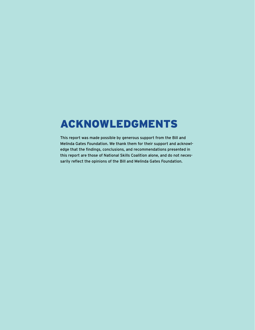## ACKNOWLEDGMENTS

This report was made possible by generous support from the Bill and Melinda Gates Foundation. We thank them for their support and acknowledge that the findings, conclusions, and recommendations presented in this report are those of National Skills Coalition alone, and do not necessarily reflect the opinions of the Bill and Melinda Gates Foundation.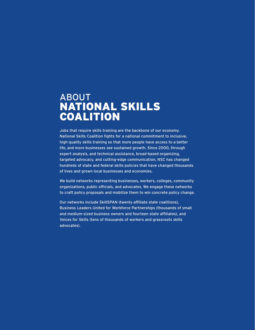### ABOUT NATIONAL SKILLS COALITION

Jobs that require skills training are the backbone of our economy. National Skills Coalition fights for a national commitment to inclusive, high-quality skills training so that more people have access to a better life, and more businesses see sustained growth. Since 2000, through expert analysis, and technical assistance, broad-based organizing, targeted advocacy, and cutting-edge communication, NSC has changed hundreds of state and federal skills policies that have changed thousands of lives and grown local businesses and economies.

We build networks representing businesses, workers, colleges, community organizations, public officials, and advocates. We engage these networks to craft policy proposals and mobilize them to win concrete policy change.

Our networks include SkillSPAN (twenty affiliate state coalitions), Business Leaders United for Workforce Partnerships (thousands of small and medium-sized business owners and fourteen state affiliates), and Voices for Skills (tens of thousands of workers and grassroots skills advocates).